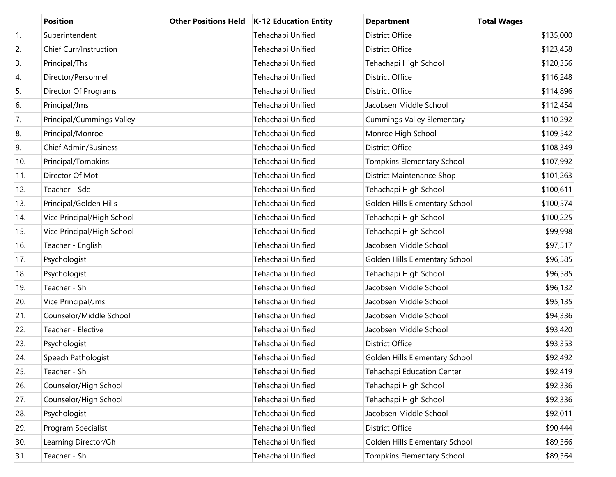|     | <b>Position</b>             | <b>Other Positions Held</b> | <b>K-12 Education Entity</b> | <b>Department</b>                 | <b>Total Wages</b> |
|-----|-----------------------------|-----------------------------|------------------------------|-----------------------------------|--------------------|
| 1.  | Superintendent              |                             | Tehachapi Unified            | <b>District Office</b>            | \$135,000          |
| 2.  | Chief Curr/Instruction      |                             | Tehachapi Unified            | <b>District Office</b>            | \$123,458          |
| 3.  | Principal/Ths               |                             | Tehachapi Unified            | Tehachapi High School             | \$120,356          |
| 4.  | Director/Personnel          |                             | Tehachapi Unified            | <b>District Office</b>            | \$116,248          |
| 5.  | Director Of Programs        |                             | Tehachapi Unified            | <b>District Office</b>            | \$114,896          |
| 6.  | Principal/Jms               |                             | Tehachapi Unified            | Jacobsen Middle School            | \$112,454          |
| 7.  | Principal/Cummings Valley   |                             | Tehachapi Unified            | <b>Cummings Valley Elementary</b> | \$110,292          |
| 8.  | Principal/Monroe            |                             | Tehachapi Unified            | Monroe High School                | \$109,542          |
| 9.  | <b>Chief Admin/Business</b> |                             | Tehachapi Unified            | <b>District Office</b>            | \$108,349          |
| 10. | Principal/Tompkins          |                             | Tehachapi Unified            | Tompkins Elementary School        | \$107,992          |
| 11. | Director Of Mot             |                             | Tehachapi Unified            | District Maintenance Shop         | \$101,263          |
| 12. | Teacher - Sdc               |                             | Tehachapi Unified            | Tehachapi High School             | \$100,611          |
| 13. | Principal/Golden Hills      |                             | Tehachapi Unified            | Golden Hills Elementary School    | \$100,574          |
| 14. | Vice Principal/High School  |                             | Tehachapi Unified            | Tehachapi High School             | \$100,225          |
| 15. | Vice Principal/High School  |                             | Tehachapi Unified            | Tehachapi High School             | \$99,998           |
| 16. | Teacher - English           |                             | Tehachapi Unified            | Jacobsen Middle School            | \$97,517           |
| 17. | Psychologist                |                             | Tehachapi Unified            | Golden Hills Elementary School    | \$96,585           |
| 18. | Psychologist                |                             | Tehachapi Unified            | Tehachapi High School             | \$96,585           |
| 19. | Teacher - Sh                |                             | Tehachapi Unified            | Jacobsen Middle School            | \$96,132           |
| 20. | Vice Principal/Jms          |                             | Tehachapi Unified            | Jacobsen Middle School            | \$95,135           |
| 21. | Counselor/Middle School     |                             | Tehachapi Unified            | Jacobsen Middle School            | \$94,336           |
| 22. | Teacher - Elective          |                             | Tehachapi Unified            | Jacobsen Middle School            | \$93,420           |
| 23. | Psychologist                |                             | Tehachapi Unified            | <b>District Office</b>            | \$93,353           |
| 24. | Speech Pathologist          |                             | Tehachapi Unified            | Golden Hills Elementary School    | \$92,492           |
| 25. | Teacher - Sh                |                             | Tehachapi Unified            | Tehachapi Education Center        | \$92,419           |
| 26. | Counselor/High School       |                             | Tehachapi Unified            | Tehachapi High School             | \$92,336           |
| 27. | Counselor/High School       |                             | Tehachapi Unified            | Tehachapi High School             | \$92,336           |
| 28. | Psychologist                |                             | Tehachapi Unified            | Jacobsen Middle School            | \$92,011           |
| 29. | Program Specialist          |                             | Tehachapi Unified            | <b>District Office</b>            | \$90,444           |
| 30. | Learning Director/Gh        |                             | Tehachapi Unified            | Golden Hills Elementary School    | \$89,366           |
| 31. | Teacher - Sh                |                             | Tehachapi Unified            | <b>Tompkins Elementary School</b> | \$89,364           |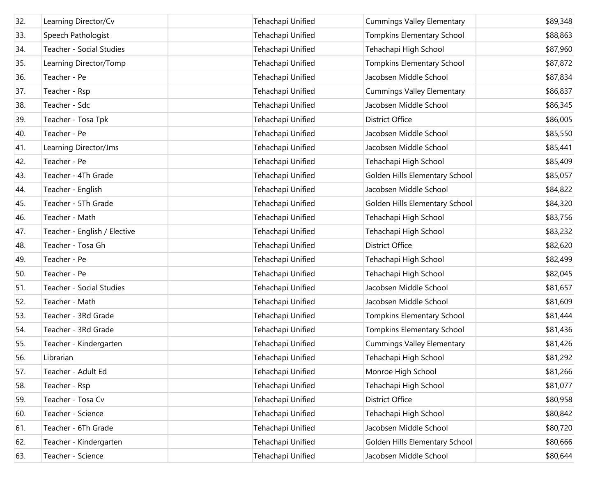| 32. | Learning Director/Cv         | Tehachapi Unified | <b>Cummings Valley Elementary</b> | \$89,348 |
|-----|------------------------------|-------------------|-----------------------------------|----------|
| 33. | Speech Pathologist           | Tehachapi Unified | <b>Tompkins Elementary School</b> | \$88,863 |
| 34. | Teacher - Social Studies     | Tehachapi Unified | Tehachapi High School             | \$87,960 |
| 35. | Learning Director/Tomp       | Tehachapi Unified | <b>Tompkins Elementary School</b> | \$87,872 |
| 36. | Teacher - Pe                 | Tehachapi Unified | Jacobsen Middle School            | \$87,834 |
| 37. | Teacher - Rsp                | Tehachapi Unified | <b>Cummings Valley Elementary</b> | \$86,837 |
| 38. | Teacher - Sdc                | Tehachapi Unified | Jacobsen Middle School            | \$86,345 |
| 39. | Teacher - Tosa Tpk           | Tehachapi Unified | <b>District Office</b>            | \$86,005 |
| 40. | Teacher - Pe                 | Tehachapi Unified | Jacobsen Middle School            | \$85,550 |
| 41. | Learning Director/Jms        | Tehachapi Unified | Jacobsen Middle School            | \$85,441 |
| 42. | Teacher - Pe                 | Tehachapi Unified | Tehachapi High School             | \$85,409 |
| 43. | Teacher - 4Th Grade          | Tehachapi Unified | Golden Hills Elementary School    | \$85,057 |
| 44. | Teacher - English            | Tehachapi Unified | Jacobsen Middle School            | \$84,822 |
| 45. | Teacher - 5Th Grade          | Tehachapi Unified | Golden Hills Elementary School    | \$84,320 |
| 46. | Teacher - Math               | Tehachapi Unified | Tehachapi High School             | \$83,756 |
| 47. | Teacher - English / Elective | Tehachapi Unified | Tehachapi High School             | \$83,232 |
| 48. | Teacher - Tosa Gh            | Tehachapi Unified | <b>District Office</b>            | \$82,620 |
| 49. | Teacher - Pe                 | Tehachapi Unified | Tehachapi High School             | \$82,499 |
| 50. | Teacher - Pe                 | Tehachapi Unified | Tehachapi High School             | \$82,045 |
| 51. | Teacher - Social Studies     | Tehachapi Unified | Jacobsen Middle School            | \$81,657 |
| 52. | Teacher - Math               | Tehachapi Unified | Jacobsen Middle School            | \$81,609 |
| 53. | Teacher - 3Rd Grade          | Tehachapi Unified | <b>Tompkins Elementary School</b> | \$81,444 |
| 54. | Teacher - 3Rd Grade          | Tehachapi Unified | <b>Tompkins Elementary School</b> | \$81,436 |
| 55. | Teacher - Kindergarten       | Tehachapi Unified | <b>Cummings Valley Elementary</b> | \$81,426 |
| 56. | Librarian                    | Tehachapi Unified | Tehachapi High School             | \$81,292 |
| 57. | Teacher - Adult Ed           | Tehachapi Unified | Monroe High School                | \$81,266 |
| 58. | Teacher - Rsp                | Tehachapi Unified | Tehachapi High School             | \$81,077 |
| 59. | Teacher - Tosa Cv            | Tehachapi Unified | <b>District Office</b>            | \$80,958 |
| 60. | Teacher - Science            | Tehachapi Unified | Tehachapi High School             | \$80,842 |
| 61. | Teacher - 6Th Grade          | Tehachapi Unified | Jacobsen Middle School            | \$80,720 |
| 62. | Teacher - Kindergarten       | Tehachapi Unified | Golden Hills Elementary School    | \$80,666 |
| 63. | Teacher - Science            | Tehachapi Unified | Jacobsen Middle School            | \$80,644 |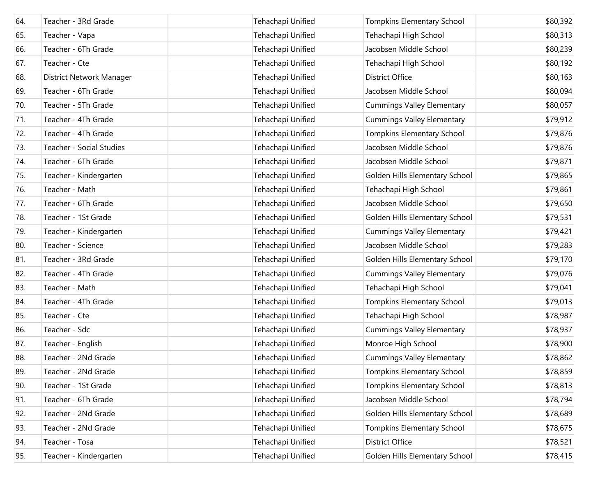| 64. | Teacher - 3Rd Grade      | Tehachapi Unified | Tompkins Elementary School        | \$80,392 |
|-----|--------------------------|-------------------|-----------------------------------|----------|
| 65. | Teacher - Vapa           | Tehachapi Unified | Tehachapi High School             | \$80,313 |
| 66. | Teacher - 6Th Grade      | Tehachapi Unified | Jacobsen Middle School            | \$80,239 |
| 67. | Teacher - Cte            | Tehachapi Unified | Tehachapi High School             | \$80,192 |
| 68. | District Network Manager | Tehachapi Unified | District Office                   | \$80,163 |
| 69. | Teacher - 6Th Grade      | Tehachapi Unified | Jacobsen Middle School            | \$80,094 |
| 70. | Teacher - 5Th Grade      | Tehachapi Unified | <b>Cummings Valley Elementary</b> | \$80,057 |
| 71. | Teacher - 4Th Grade      | Tehachapi Unified | <b>Cummings Valley Elementary</b> | \$79,912 |
| 72. | Teacher - 4Th Grade      | Tehachapi Unified | <b>Tompkins Elementary School</b> | \$79,876 |
| 73. | Teacher - Social Studies | Tehachapi Unified | Jacobsen Middle School            | \$79,876 |
| 74. | Teacher - 6Th Grade      | Tehachapi Unified | Jacobsen Middle School            | \$79,871 |
| 75. | Teacher - Kindergarten   | Tehachapi Unified | Golden Hills Elementary School    | \$79,865 |
| 76. | Teacher - Math           | Tehachapi Unified | Tehachapi High School             | \$79,861 |
| 77. | Teacher - 6Th Grade      | Tehachapi Unified | Jacobsen Middle School            | \$79,650 |
| 78. | Teacher - 1St Grade      | Tehachapi Unified | Golden Hills Elementary School    | \$79,531 |
| 79. | Teacher - Kindergarten   | Tehachapi Unified | <b>Cummings Valley Elementary</b> | \$79,421 |
| 80. | Teacher - Science        | Tehachapi Unified | Jacobsen Middle School            | \$79,283 |
| 81. | Teacher - 3Rd Grade      | Tehachapi Unified | Golden Hills Elementary School    | \$79,170 |
| 82. | Teacher - 4Th Grade      | Tehachapi Unified | <b>Cummings Valley Elementary</b> | \$79,076 |
| 83. | Teacher - Math           | Tehachapi Unified | Tehachapi High School             | \$79,041 |
| 84. | Teacher - 4Th Grade      | Tehachapi Unified | <b>Tompkins Elementary School</b> | \$79,013 |
| 85. | Teacher - Cte            | Tehachapi Unified | Tehachapi High School             | \$78,987 |
| 86. | Teacher - Sdc            | Tehachapi Unified | <b>Cummings Valley Elementary</b> | \$78,937 |
| 87. | Teacher - English        | Tehachapi Unified | Monroe High School                | \$78,900 |
| 88. | Teacher - 2Nd Grade      | Tehachapi Unified | <b>Cummings Valley Elementary</b> | \$78,862 |
| 89. | Teacher - 2Nd Grade      | Tehachapi Unified | Tompkins Elementary School        | \$78,859 |
| 90. | Teacher - 1St Grade      | Tehachapi Unified | Tompkins Elementary School        | \$78,813 |
| 91. | Teacher - 6Th Grade      | Tehachapi Unified | Jacobsen Middle School            | \$78,794 |
| 92. | Teacher - 2Nd Grade      | Tehachapi Unified | Golden Hills Elementary School    | \$78,689 |
| 93. | Teacher - 2Nd Grade      | Tehachapi Unified | Tompkins Elementary School        | \$78,675 |
| 94. | Teacher - Tosa           | Tehachapi Unified | <b>District Office</b>            | \$78,521 |
| 95. | Teacher - Kindergarten   | Tehachapi Unified | Golden Hills Elementary School    | \$78,415 |